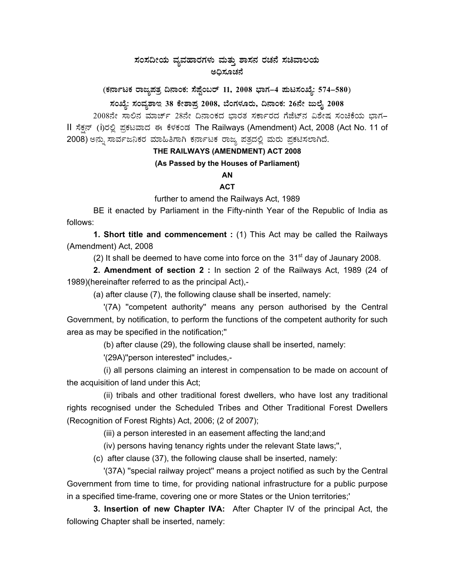# $\,$ ಸಂಸದೀಯ ವ್ಯವಹಾರಗಳು ಮತ್ತು ಶಾಸನ ರಚನೆ ಸಚಿವಾಲಯ ಅದಿಸೂಚನೆ

(ಕರ್ನಾಟಕ ರಾಜ್ಯಪತ್ರ ದಿನಾಂಕ: ಸೆಪ್ಟೆಂಬರ್ 11, 2008 ಭಾಗ–4 **ಮಟಸಂಖ್ಯೆ: 574–580**)

## **¸ÀASÉå: ¸ÀAªÀå±ÁE 38 PÉñÁ¥Àæ 2008, ¨ÉAUÀ¼ÀÆgÀÄ, ¢£ÁAPÀ: 26£Éà dįÉÊ 2008**

2008ನೇ ಸಾಲಿನ ಮಾರ್ಚ್ 28ನೇ ದಿನಾಂಕದ ಭಾರತ ಸರ್ಕಾರದ ಗೆಜೆಟ್ ವಿಶೇಷ ಸಂಚಿಕೆಯ ಭಾಗ-II ಸೆಕ್ಷನ್ (i)ರಲ್ಲಿ ಪ್ರಕಟವಾದ ಈ ಕೆಳಕಂಡ The Railways (Amendment) Act, 2008 (Act No. 11 of 2008) ಅನ್ನು ಸಾರ್ವಜನಿಕರ ಮಾಹಿತಿಗಾಗಿ ಕರ್ನಾಟಕ ರಾಜ್ಯ ಪತ್ರದಲ್ಲಿ ಮರು ಪ್ರಕಟಿಸಲಾಗಿದೆ.

### **THE RAILWAYS (AMENDMENT) ACT 2008**

#### **(As Passed by the Houses of Parliament)**

## **AN**

#### **ACT**

further to amend the Railways Act, 1989

 BE it enacted by Parliament in the Fifty-ninth Year of the Republic of India as follows:

**1. Short title and commencement :** (1) This Act may be called the Railways (Amendment) Act, 2008

(2) It shall be deemed to have come into force on the  $31<sup>st</sup>$  day of Jaunary 2008.

**2. Amendment of section 2 :** In section 2 of the Railways Act, 1989 (24 of 1989)(hereinafter referred to as the principal Act),-

(a) after clause (7), the following clause shall be inserted, namely:

 '(7A) ''competent authority'' means any person authorised by the Central Government, by notification, to perform the functions of the competent authority for such area as may be specified in the notification;''

(b) after clause (29), the following clause shall be inserted, namely:

'(29A)''person interested'' includes,-

 (i) all persons claiming an interest in compensation to be made on account of the acquisition of land under this Act;

 (ii) tribals and other traditional forest dwellers, who have lost any traditional rights recognised under the Scheduled Tribes and Other Traditional Forest Dwellers (Recognition of Forest Rights) Act, 2006; (2 of 2007);

(iii) a person interested in an easement affecting the land;and

(iv) persons having tenancy rights under the relevant State laws;'',

(c) after clause (37), the following clause shall be inserted, namely:

 '(37A) ''special railway project'' means a project notified as such by the Central Government from time to time, for providing national infrastructure for a public purpose in a specified time-frame, covering one or more States or the Union territories;'

**3. Insertion of new Chapter IVA:** After Chapter IV of the principal Act, the following Chapter shall be inserted, namely: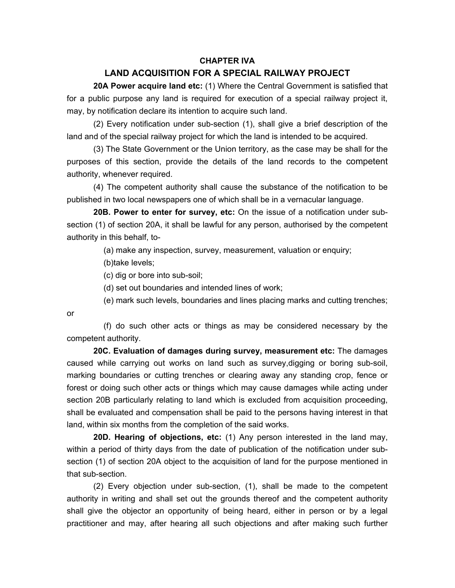#### **CHAPTER IVA**

### **LAND ACQUISITION FOR A SPECIAL RAILWAY PROJECT**

 **20A Power acquire land etc:** (1) Where the Central Government is satisfied that for a public purpose any land is required for execution of a special railway project it, may, by notification declare its intention to acquire such land.

 (2) Every notification under sub-section (1), shall give a brief description of the land and of the special railway project for which the land is intended to be acquired.

 (3) The State Government or the Union territory, as the case may be shall for the purposes of this section, provide the details of the land records to the competent authority, whenever required.

 (4) The competent authority shall cause the substance of the notification to be published in two local newspapers one of which shall be in a vernacular language.

**20B. Power to enter for survey, etc:** On the issue of a notification under subsection (1) of section 20A, it shall be lawful for any person, authorised by the competent authority in this behalf, to-

(a) make any inspection, survey, measurement, valuation or enquiry;

(b)take levels;

(c) dig or bore into sub-soil;

(d) set out boundaries and intended lines of work;

(e) mark such levels, boundaries and lines placing marks and cutting trenches;

or

 (f) do such other acts or things as may be considered necessary by the competent authority.

**20C. Evaluation of damages during survey, measurement etc:** The damages caused while carrying out works on land such as survey,digging or boring sub-soil, marking boundaries or cutting trenches or clearing away any standing crop, fence or forest or doing such other acts or things which may cause damages while acting under section 20B particularly relating to land which is excluded from acquisition proceeding, shall be evaluated and compensation shall be paid to the persons having interest in that land, within six months from the completion of the said works.

**20D. Hearing of objections, etc:** (1) Any person interested in the land may, within a period of thirty days from the date of publication of the notification under subsection (1) of section 20A object to the acquisition of land for the purpose mentioned in that sub-section.

 (2) Every objection under sub-section, (1), shall be made to the competent authority in writing and shall set out the grounds thereof and the competent authority shall give the objector an opportunity of being heard, either in person or by a legal practitioner and may, after hearing all such objections and after making such further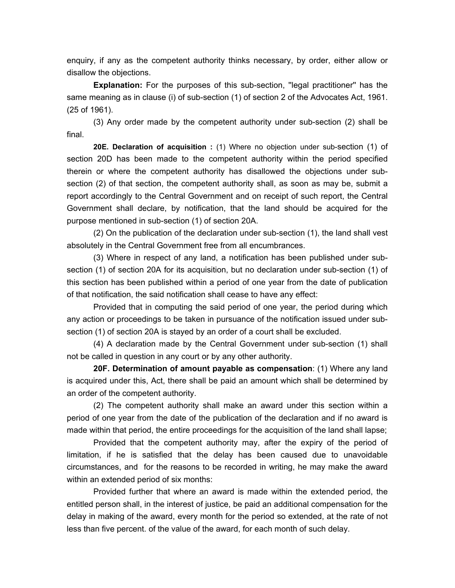enquiry, if any as the competent authority thinks necessary, by order, either allow or disallow the objections.

**Explanation:** For the purposes of this sub-section, ''legal practitioner'' has the same meaning as in clause (i) of sub-section (1) of section 2 of the Advocates Act, 1961. (25 of 1961).

 (3) Any order made by the competent authority under sub-section (2) shall be final.

**20E. Declaration of acquisition :** (1) Where no objection under sub-section (1) of section 20D has been made to the competent authority within the period specified therein or where the competent authority has disallowed the objections under subsection (2) of that section, the competent authority shall, as soon as may be, submit a report accordingly to the Central Government and on receipt of such report, the Central Government shall declare, by notification, that the land should be acquired for the purpose mentioned in sub-section (1) of section 20A.

 (2) On the publication of the declaration under sub-section (1), the land shall vest absolutely in the Central Government free from all encumbrances.

 (3) Where in respect of any land, a notification has been published under subsection (1) of section 20A for its acquisition, but no declaration under sub-section (1) of this section has been published within a period of one year from the date of publication of that notification, the said notification shall cease to have any effect:

 Provided that in computing the said period of one year, the period during which any action or proceedings to be taken in pursuance of the notification issued under subsection (1) of section 20A is stayed by an order of a court shall be excluded.

 (4) A declaration made by the Central Government under sub-section (1) shall not be called in question in any court or by any other authority.

**20F. Determination of amount payable as compensation**: (1) Where any land is acquired under this, Act, there shall be paid an amount which shall be determined by an order of the competent authority.

 (2) The competent authority shall make an award under this section within a period of one year from the date of the publication of the declaration and if no award is made within that period, the entire proceedings for the acquisition of the land shall lapse;

 Provided that the competent authority may, after the expiry of the period of limitation, if he is satisfied that the delay has been caused due to unavoidable circumstances, and for the reasons to be recorded in writing, he may make the award within an extended period of six months:

 Provided further that where an award is made within the extended period, the entitled person shall, in the interest of justice, be paid an additional compensation for the delay in making of the award, every month for the period so extended, at the rate of not less than five percent. of the value of the award, for each month of such delay.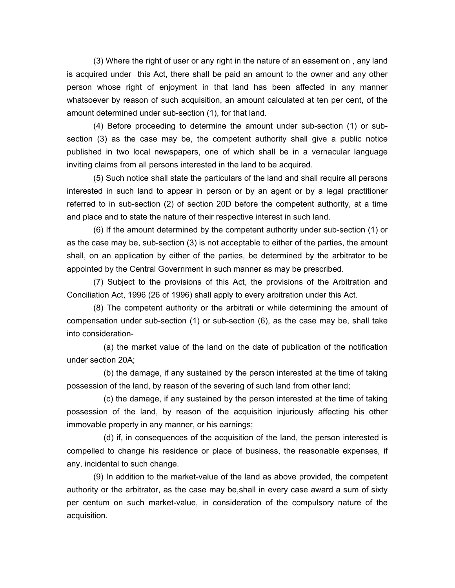(3) Where the right of user or any right in the nature of an easement on , any land is acquired under this Act, there shall be paid an amount to the owner and any other person whose right of enjoyment in that land has been affected in any manner whatsoever by reason of such acquisition, an amount calculated at ten per cent, of the amount determined under sub-section (1), for that land.

 (4) Before proceeding to determine the amount under sub-section (1) or subsection (3) as the case may be, the competent authority shall give a public notice published in two local newspapers, one of which shall be in a vernacular language inviting claims from all persons interested in the land to be acquired.

 (5) Such notice shall state the particulars of the land and shall require all persons interested in such land to appear in person or by an agent or by a legal practitioner referred to in sub-section (2) of section 20D before the competent authority, at a time and place and to state the nature of their respective interest in such land.

 (6) If the amount determined by the competent authority under sub-section (1) or as the case may be, sub-section (3) is not acceptable to either of the parties, the amount shall, on an application by either of the parties, be determined by the arbitrator to be appointed by the Central Government in such manner as may be prescribed.

 (7) Subject to the provisions of this Act, the provisions of the Arbitration and Conciliation Act, 1996 (26 of 1996) shall apply to every arbitration under this Act.

 (8) The competent authority or the arbitrati or while determining the amount of compensation under sub-section (1) or sub-section (6), as the case may be, shall take into consideration-

 (a) the market value of the land on the date of publication of the notification under section 20A;

 (b) the damage, if any sustained by the person interested at the time of taking possession of the land, by reason of the severing of such land from other land;

 (c) the damage, if any sustained by the person interested at the time of taking possession of the land, by reason of the acquisition injuriously affecting his other immovable property in any manner, or his earnings;

 (d) if, in consequences of the acquisition of the land, the person interested is compelled to change his residence or place of business, the reasonable expenses, if any, incidental to such change.

 (9) In addition to the market-value of the land as above provided, the competent authority or the arbitrator, as the case may be,shall in every case award a sum of sixty per centum on such market-value, in consideration of the compulsory nature of the acquisition.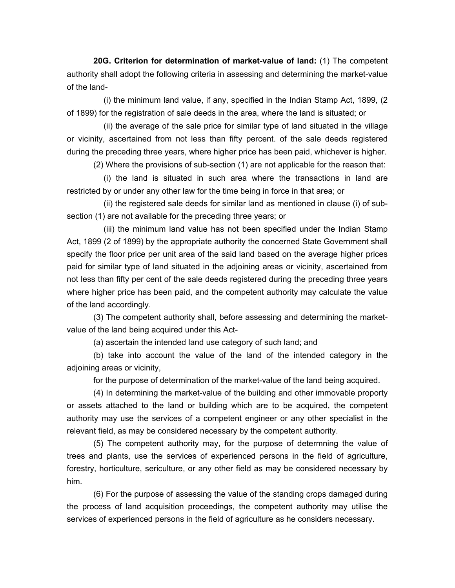**20G. Criterion for determination of market-value of land:** (1) The competent authority shall adopt the following criteria in assessing and determining the market-value of the land-

 (i) the minimum land value, if any, specified in the Indian Stamp Act, 1899, (2 of 1899) for the registration of sale deeds in the area, where the land is situated; or

 (ii) the average of the sale price for similar type of land situated in the village or vicinity, ascertained from not less than fifty percent. of the sale deeds registered during the preceding three years, where higher price has been paid, whichever is higher.

(2) Where the provisions of sub-section (1) are not applicable for the reason that:

 (i) the land is situated in such area where the transactions in land are restricted by or under any other law for the time being in force in that area; or

 (ii) the registered sale deeds for similar land as mentioned in clause (i) of subsection (1) are not available for the preceding three years; or

 (iii) the minimum land value has not been specified under the Indian Stamp Act, 1899 (2 of 1899) by the appropriate authority the concerned State Government shall specify the floor price per unit area of the said land based on the average higher prices paid for similar type of land situated in the adjoining areas or vicinity, ascertained from not less than fifty per cent of the sale deeds registered during the preceding three years where higher price has been paid, and the competent authority may calculate the value of the land accordingly.

 (3) The competent authority shall, before assessing and determining the marketvalue of the land being acquired under this Act-

(a) ascertain the intended land use category of such land; and

 (b) take into account the value of the land of the intended category in the adjoining areas or vicinity,

for the purpose of determination of the market-value of the land being acquired.

 (4) In determining the market-value of the building and other immovable proporty or assets attached to the land or building which are to be acquired, the competent authority may use the services of a competent engineer or any other specialist in the relevant field, as may be considered necessary by the competent authority.

 (5) The competent authority may, for the purpose of determning the value of trees and plants, use the services of experienced persons in the field of agriculture, forestry, horticulture, sericulture, or any other field as may be considered necessary by him.

 (6) For the purpose of assessing the value of the standing crops damaged during the process of land acquisition proceedings, the competent authority may utilise the services of experienced persons in the field of agriculture as he considers necessary.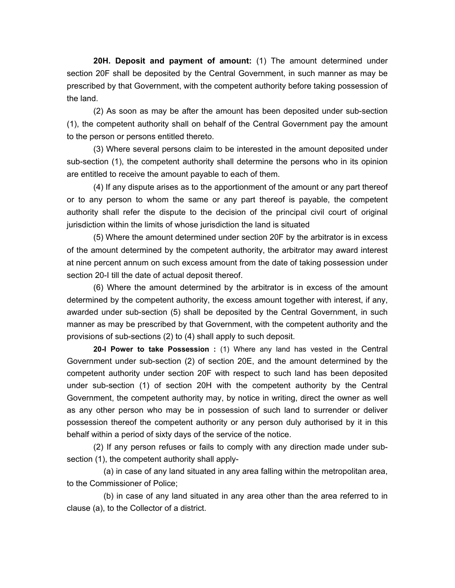**20H. Deposit and payment of amount:** (1) The amount determined under section 20F shall be deposited by the Central Government, in such manner as may be prescribed by that Government, with the competent authority before taking possession of the land.

 (2) As soon as may be after the amount has been deposited under sub-section (1), the competent authority shall on behalf of the Central Government pay the amount to the person or persons entitled thereto.

 (3) Where several persons claim to be interested in the amount deposited under sub-section (1), the competent authority shall determine the persons who in its opinion are entitled to receive the amount payable to each of them.

 (4) If any dispute arises as to the apportionment of the amount or any part thereof or to any person to whom the same or any part thereof is payable, the competent authority shall refer the dispute to the decision of the principal civil court of original jurisdiction within the limits of whose jurisdiction the land is situated

 (5) Where the amount determined under section 20F by the arbitrator is in excess of the amount determined by the competent authority, the arbitrator may award interest at nine percent annum on such excess amount from the date of taking possession under section 20-I till the date of actual deposit thereof.

 (6) Where the amount determined by the arbitrator is in excess of the amount determined by the competent authority, the excess amount together with interest, if any, awarded under sub-section (5) shall be deposited by the Central Government, in such manner as may be prescribed by that Government, with the competent authority and the provisions of sub-sections (2) to (4) shall apply to such deposit.

**20-I Power to take Possession :** (1) Where any land has vested in the Central Government under sub-section (2) of section 20E, and the amount determined by the competent authority under section 20F with respect to such land has been deposited under sub-section (1) of section 20H with the competent authority by the Central Government, the competent authority may, by notice in writing, direct the owner as well as any other person who may be in possession of such land to surrender or deliver possession thereof the competent authority or any person duly authorised by it in this behalf within a period of sixty days of the service of the notice.

 (2) If any person refuses or fails to comply with any direction made under subsection (1), the competent authority shall apply-

 (a) in case of any land situated in any area falling within the metropolitan area, to the Commissioner of Police;

 (b) in case of any land situated in any area other than the area referred to in clause (a), to the Collector of a district.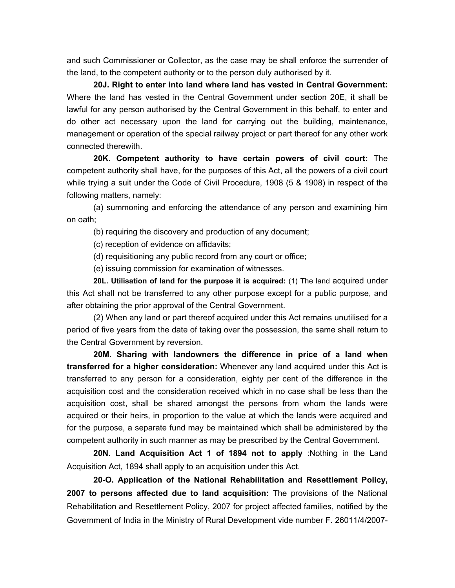and such Commissioner or Collector, as the case may be shall enforce the surrender of the land, to the competent authority or to the person duly authorised by it.

**20J. Right to enter into land where land has vested in Central Government:** Where the land has vested in the Central Government under section 20E, it shall be lawful for any person authorised by the Central Government in this behalf, to enter and do other act necessary upon the land for carrying out the building, maintenance, management or operation of the special railway project or part thereof for any other work connected therewith.

**20K. Competent authority to have certain powers of civil court:** The competent authority shall have, for the purposes of this Act, all the powers of a civil court while trying a suit under the Code of Civil Procedure, 1908 (5 & 1908) in respect of the following matters, namely:

 (a) summoning and enforcing the attendance of any person and examining him on oath;

(b) requiring the discovery and production of any document;

(c) reception of evidence on affidavits;

(d) requisitioning any public record from any court or office;

(e) issuing commission for examination of witnesses.

**20L. Utilisation of land for the purpose it is acquired:** (1) The land acquired under this Act shall not be transferred to any other purpose except for a public purpose, and after obtaining the prior approval of the Central Government.

 (2) When any land or part thereof acquired under this Act remains unutilised for a period of five years from the date of taking over the possession, the same shall return to the Central Government by reversion.

**20M. Sharing with landowners the difference in price of a land when transferred for a higher consideration:** Whenever any land acquired under this Act is transferred to any person for a consideration, eighty per cent of the difference in the acquisition cost and the consideration received which in no case shall be less than the acquisition cost, shall be shared amongst the persons from whom the lands were acquired or their heirs, in proportion to the value at which the lands were acquired and for the purpose, a separate fund may be maintained which shall be administered by the competent authority in such manner as may be prescribed by the Central Government.

**20N. Land Acquisition Act 1 of 1894 not to apply** :Nothing in the Land Acquisition Act, 1894 shall apply to an acquisition under this Act.

**20-O. Application of the National Rehabilitation and Resettlement Policy, 2007 to persons affected due to land acquisition:** The provisions of the National Rehabilitation and Resettlement Policy, 2007 for project affected families, notified by the Government of India in the Ministry of Rural Development vide number F. 26011/4/2007